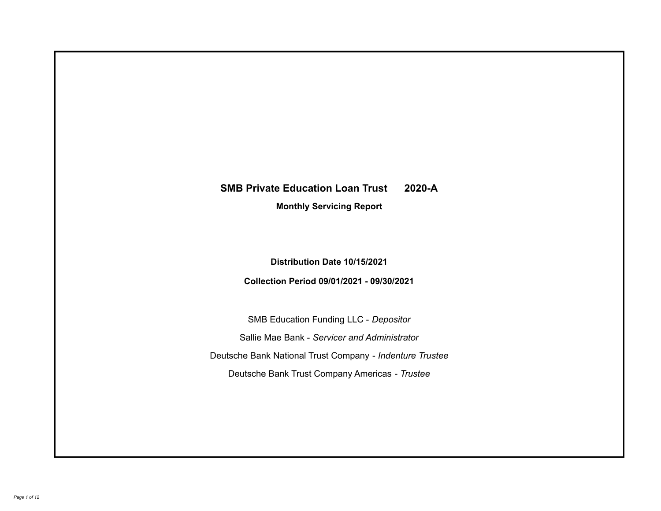# **SMB Private Education Loan Trust 2020-A**

**Monthly Servicing Report**

**Distribution Date 10/15/2021**

**Collection Period 09/01/2021 - 09/30/2021**

SMB Education Funding LLC - *Depositor* Sallie Mae Bank - *Servicer and Administrator* Deutsche Bank National Trust Company - *Indenture Trustee* Deutsche Bank Trust Company Americas - *Trustee*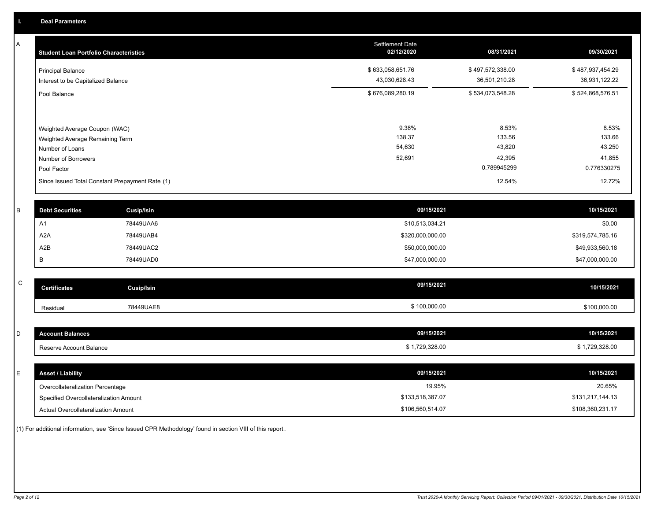A

| <b>Student Loan Portfolio Characteristics</b>                                                                             | <b>Settlement Date</b><br>02/12/2020 | 08/31/2021                                         | 09/30/2021                                         |
|---------------------------------------------------------------------------------------------------------------------------|--------------------------------------|----------------------------------------------------|----------------------------------------------------|
| <b>Principal Balance</b><br>Interest to be Capitalized Balance                                                            | \$633,058,651.76<br>43,030,628.43    | \$497,572,338.00<br>36,501,210.28                  | \$487,937,454.29<br>36,931,122.22                  |
| Pool Balance                                                                                                              | \$676,089,280.19                     | \$534,073,548.28                                   | \$524,868,576.51                                   |
| Weighted Average Coupon (WAC)<br>Weighted Average Remaining Term<br>Number of Loans<br>Number of Borrowers<br>Pool Factor | 9.38%<br>138.37<br>54,630<br>52,691  | 8.53%<br>133.56<br>43,820<br>42,395<br>0.789945299 | 8.53%<br>133.66<br>43,250<br>41,855<br>0.776330275 |
| Since Issued Total Constant Prepayment Rate (1)                                                                           |                                      | 12.54%                                             | 12.72%                                             |

| <b>Debt Securities</b> | Cusip/Isin | 09/15/2021       | 10/15/2021       |
|------------------------|------------|------------------|------------------|
| A٦                     | 78449UAA6  | \$10,513,034.21  | \$0.00           |
| A <sub>2</sub> A       | 78449UAB4  | \$320,000,000.00 | \$319,574,785.16 |
| A2B                    | 78449UAC2  | \$50,000,000.00  | \$49,933,560.18  |
|                        | 78449UAD0  | \$47,000,000.00  | \$47,000,000.00  |

| $\sim$<br>◡ | <b>Certificates</b> | <b>Cusip/Isin</b> | 09/15/2021   | 10/15/2021   |
|-------------|---------------------|-------------------|--------------|--------------|
|             | Residual            | 78449UAE8         | \$100,000.00 | \$100,000.00 |

| I D | <b>Account Balances</b>          | 09/15/2021     | 10/15/2021     |
|-----|----------------------------------|----------------|----------------|
|     | Reserve Account Balance          | \$1,729,328.00 | \$1,729,328.00 |
|     |                                  |                |                |
| l E | <b>Asset / Liability</b>         | 09/15/2021     | 10/15/2021     |
|     | Overcollateralization Percentage | 19.95%         | 20.65%         |

\$133,518,387.07

Actual Overcollateralization Amount \$106,560,514.07

Specified Overcollateralization Amount

(1) For additional information, see 'Since Issued CPR Methodology' found in section VIII of this report .

\$108,360,231.17 \$131,217,144.13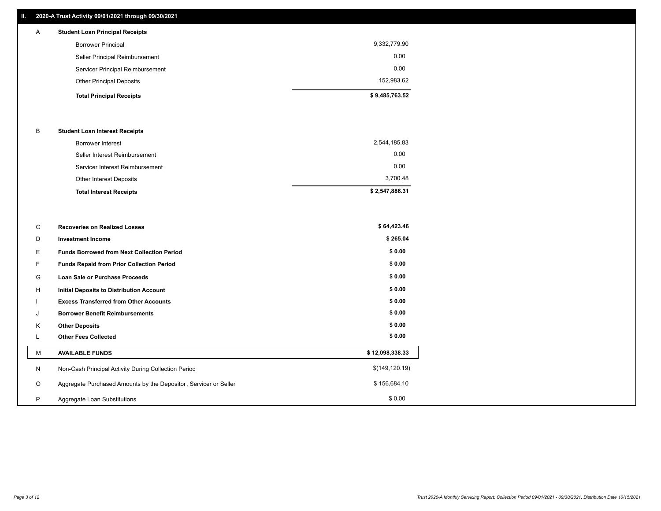## **II. 2020-A Trust Activity 09/01/2021 through 09/30/2021**

| $\mathsf{A}$ | <b>Student Loan Principal Receipts</b> |                |
|--------------|----------------------------------------|----------------|
|              | <b>Borrower Principal</b>              | 9,332,779.90   |
|              | Seller Principal Reimbursement         | 0.00           |
|              | Servicer Principal Reimbursement       | 0.00           |
|              | <b>Other Principal Deposits</b>        | 152,983.62     |
|              | <b>Total Principal Receipts</b>        | \$9,485,763.52 |

### B **Student Loan Interest Receipts**

| <b>Total Interest Receipts</b>  | \$2,547,886.31 |
|---------------------------------|----------------|
| Other Interest Deposits         | 3,700.48       |
| Servicer Interest Reimbursement | 0.00           |
| Seller Interest Reimbursement   | 0.00           |
| Borrower Interest               | 2,544,185.83   |

| C       | <b>Recoveries on Realized Losses</b>                             | \$64,423.46     |
|---------|------------------------------------------------------------------|-----------------|
| D       | <b>Investment Income</b>                                         | \$265.04        |
| Е.      | <b>Funds Borrowed from Next Collection Period</b>                | \$0.00          |
| F.      | Funds Repaid from Prior Collection Period                        | \$0.00          |
| G       | Loan Sale or Purchase Proceeds                                   | \$0.00          |
| H       | Initial Deposits to Distribution Account                         | \$0.00          |
|         | <b>Excess Transferred from Other Accounts</b>                    | \$0.00          |
| J       | <b>Borrower Benefit Reimbursements</b>                           | \$0.00          |
| Κ       | <b>Other Deposits</b>                                            | \$0.00          |
|         | <b>Other Fees Collected</b>                                      | \$0.00          |
| м       | <b>AVAILABLE FUNDS</b>                                           | \$12,098,338.33 |
| N       | Non-Cash Principal Activity During Collection Period             | \$(149, 120.19) |
| $\circ$ | Aggregate Purchased Amounts by the Depositor, Servicer or Seller | \$156,684.10    |
| P       | Aggregate Loan Substitutions                                     | \$0.00          |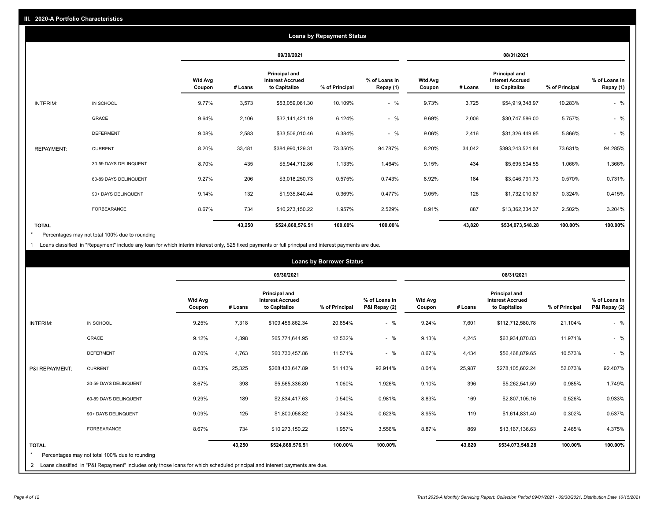| <b>Loans by Repayment Status</b> |                       |                   |         |                                                           |                |                            |                          |         |                                                           |                |                            |
|----------------------------------|-----------------------|-------------------|---------|-----------------------------------------------------------|----------------|----------------------------|--------------------------|---------|-----------------------------------------------------------|----------------|----------------------------|
|                                  |                       |                   |         | 09/30/2021                                                |                |                            |                          |         | 08/31/2021                                                |                |                            |
|                                  |                       | Wtd Avg<br>Coupon | # Loans | Principal and<br><b>Interest Accrued</b><br>to Capitalize | % of Principal | % of Loans in<br>Repay (1) | <b>Wtd Avg</b><br>Coupon | # Loans | Principal and<br><b>Interest Accrued</b><br>to Capitalize | % of Principal | % of Loans in<br>Repay (1) |
| INTERIM:                         | IN SCHOOL             | 9.77%             | 3,573   | \$53,059,061.30                                           | 10.109%        | $-$ %                      | 9.73%                    | 3,725   | \$54,919,348.97                                           | 10.283%        | $-$ %                      |
|                                  | GRACE                 | 9.64%             | 2,106   | \$32,141,421.19                                           | 6.124%         | $-$ %                      | 9.69%                    | 2,006   | \$30,747,586.00                                           | 5.757%         | $-$ %                      |
|                                  | <b>DEFERMENT</b>      | 9.08%             | 2,583   | \$33,506,010.46                                           | 6.384%         | $-$ %                      | 9.06%                    | 2,416   | \$31,326,449.95                                           | 5.866%         | $-$ %                      |
| <b>REPAYMENT:</b>                | <b>CURRENT</b>        | 8.20%             | 33,481  | \$384,990,129.31                                          | 73.350%        | 94.787%                    | 8.20%                    | 34,042  | \$393,243,521.84                                          | 73.631%        | 94.285%                    |
|                                  | 30-59 DAYS DELINQUENT | 8.70%             | 435     | \$5,944,712.86                                            | 1.133%         | 1.464%                     | 9.15%                    | 434     | \$5,695,504.55                                            | 1.066%         | 1.366%                     |
|                                  | 60-89 DAYS DELINQUENT | 9.27%             | 206     | \$3,018,250.73                                            | 0.575%         | 0.743%                     | 8.92%                    | 184     | \$3,046,791.73                                            | 0.570%         | 0.731%                     |
|                                  | 90+ DAYS DELINQUENT   | 9.14%             | 132     | \$1,935,840.44                                            | 0.369%         | 0.477%                     | 9.05%                    | 126     | \$1,732,010.87                                            | 0.324%         | 0.415%                     |
|                                  | <b>FORBEARANCE</b>    | 8.67%             | 734     | \$10,273,150.22                                           | 1.957%         | 2.529%                     | 8.91%                    | 887     | \$13,362,334.37                                           | 2.502%         | 3.204%                     |
| <b>TOTAL</b>                     |                       |                   | 43,250  | \$524,868,576.51                                          | 100.00%        | 100.00%                    |                          | 43,820  | \$534,073,548.28                                          | 100.00%        | 100.00%                    |

Percentages may not total 100% due to rounding \*

1 Loans classified in "Repayment" include any loan for which interim interest only, \$25 fixed payments or full principal and interest payments are due.

|                 |                                                                                                                              | <b>Loans by Borrower Status</b> |         |                                                                  |                |                                |                          |         |                                                                  |                |                                |
|-----------------|------------------------------------------------------------------------------------------------------------------------------|---------------------------------|---------|------------------------------------------------------------------|----------------|--------------------------------|--------------------------|---------|------------------------------------------------------------------|----------------|--------------------------------|
|                 |                                                                                                                              |                                 |         | 09/30/2021                                                       |                |                                | 08/31/2021               |         |                                                                  |                |                                |
|                 |                                                                                                                              | <b>Wtd Avg</b><br>Coupon        | # Loans | <b>Principal and</b><br><b>Interest Accrued</b><br>to Capitalize | % of Principal | % of Loans in<br>P&I Repay (2) | <b>Wtd Avg</b><br>Coupon | # Loans | <b>Principal and</b><br><b>Interest Accrued</b><br>to Capitalize | % of Principal | % of Loans in<br>P&I Repay (2) |
| <b>INTERIM:</b> | IN SCHOOL                                                                                                                    | 9.25%                           | 7,318   | \$109,456,862.34                                                 | 20.854%        | $-$ %                          | 9.24%                    | 7,601   | \$112,712,580.78                                                 | 21.104%        | $-$ %                          |
|                 | <b>GRACE</b>                                                                                                                 | 9.12%                           | 4,398   | \$65,774,644.95                                                  | 12.532%        | $-$ %                          | 9.13%                    | 4,245   | \$63,934,870.83                                                  | 11.971%        | $-$ %                          |
|                 | <b>DEFERMENT</b>                                                                                                             | 8.70%                           | 4,763   | \$60,730,457.86                                                  | 11.571%        | $-$ %                          | 8.67%                    | 4,434   | \$56,468,879.65                                                  | 10.573%        | $-$ %                          |
| P&I REPAYMENT:  | <b>CURRENT</b>                                                                                                               | 8.03%                           | 25,325  | \$268,433,647.89                                                 | 51.143%        | 92.914%                        | 8.04%                    | 25,987  | \$278,105,602.24                                                 | 52.073%        | 92.407%                        |
|                 | 30-59 DAYS DELINQUENT                                                                                                        | 8.67%                           | 398     | \$5,565,336.80                                                   | 1.060%         | 1.926%                         | 9.10%                    | 396     | \$5,262,541.59                                                   | 0.985%         | 1.749%                         |
|                 | 60-89 DAYS DELINQUENT                                                                                                        | 9.29%                           | 189     | \$2,834,417.63                                                   | 0.540%         | 0.981%                         | 8.83%                    | 169     | \$2,807,105.16                                                   | 0.526%         | 0.933%                         |
|                 | 90+ DAYS DELINQUENT                                                                                                          | 9.09%                           | 125     | \$1,800,058.82                                                   | 0.343%         | 0.623%                         | 8.95%                    | 119     | \$1,614,831.40                                                   | 0.302%         | 0.537%                         |
|                 | FORBEARANCE                                                                                                                  | 8.67%                           | 734     | \$10,273,150.22                                                  | 1.957%         | 3.556%                         | 8.87%                    | 869     | \$13,167,136.63                                                  | 2.465%         | 4.375%                         |
| <b>TOTAL</b>    |                                                                                                                              |                                 | 43,250  | \$524,868,576.51                                                 | 100.00%        | 100.00%                        |                          | 43,820  | \$534,073,548.28                                                 | 100.00%        | 100.00%                        |
|                 | Percentages may not total 100% due to rounding                                                                               |                                 |         |                                                                  |                |                                |                          |         |                                                                  |                |                                |
|                 | 2 Loans classified in "P&I Repayment" includes only those loans for which scheduled principal and interest payments are due. |                                 |         |                                                                  |                |                                |                          |         |                                                                  |                |                                |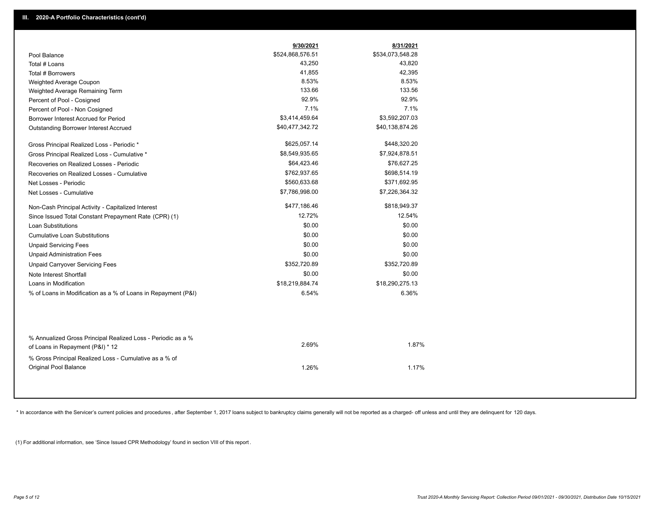|                                                                                                  | 9/30/2021        | 8/31/2021        |  |
|--------------------------------------------------------------------------------------------------|------------------|------------------|--|
| Pool Balance                                                                                     | \$524,868,576.51 | \$534,073,548.28 |  |
| Total # Loans                                                                                    | 43,250           | 43,820           |  |
| Total # Borrowers                                                                                | 41,855           | 42,395           |  |
| Weighted Average Coupon                                                                          | 8.53%            | 8.53%            |  |
| Weighted Average Remaining Term                                                                  | 133.66           | 133.56           |  |
| Percent of Pool - Cosigned                                                                       | 92.9%            | 92.9%            |  |
| Percent of Pool - Non Cosigned                                                                   | 7.1%             | 7.1%             |  |
| Borrower Interest Accrued for Period                                                             | \$3,414,459.64   | \$3,592,207.03   |  |
| Outstanding Borrower Interest Accrued                                                            | \$40,477,342.72  | \$40,138,874.26  |  |
| Gross Principal Realized Loss - Periodic *                                                       | \$625,057.14     | \$448,320.20     |  |
| Gross Principal Realized Loss - Cumulative *                                                     | \$8,549,935.65   | \$7,924,878.51   |  |
| Recoveries on Realized Losses - Periodic                                                         | \$64,423.46      | \$76,627.25      |  |
| Recoveries on Realized Losses - Cumulative                                                       | \$762,937.65     | \$698,514.19     |  |
| Net Losses - Periodic                                                                            | \$560,633.68     | \$371,692.95     |  |
| Net Losses - Cumulative                                                                          | \$7,786,998.00   | \$7,226,364.32   |  |
| Non-Cash Principal Activity - Capitalized Interest                                               | \$477,186.46     | \$818,949.37     |  |
| Since Issued Total Constant Prepayment Rate (CPR) (1)                                            | 12.72%           | 12.54%           |  |
| <b>Loan Substitutions</b>                                                                        | \$0.00           | \$0.00           |  |
| <b>Cumulative Loan Substitutions</b>                                                             | \$0.00           | \$0.00           |  |
| <b>Unpaid Servicing Fees</b>                                                                     | \$0.00           | \$0.00           |  |
| <b>Unpaid Administration Fees</b>                                                                | \$0.00           | \$0.00           |  |
| <b>Unpaid Carryover Servicing Fees</b>                                                           | \$352,720.89     | \$352,720.89     |  |
| Note Interest Shortfall                                                                          | \$0.00           | \$0.00           |  |
| Loans in Modification                                                                            | \$18,219,884.74  | \$18,290,275.13  |  |
| % of Loans in Modification as a % of Loans in Repayment (P&I)                                    | 6.54%            | 6.36%            |  |
|                                                                                                  |                  |                  |  |
| % Annualized Gross Principal Realized Loss - Periodic as a %<br>of Loans in Repayment (P&I) * 12 | 2.69%            | 1.87%            |  |

\* In accordance with the Servicer's current policies and procedures, after September 1, 2017 loans subject to bankruptcy claims generally will not be reported as a charged- off unless and until they are delinquent for 120

1.26% 1.17%

(1) For additional information, see 'Since Issued CPR Methodology' found in section VIII of this report .

% Gross Principal Realized Loss - Cumulative as a % of

Original Pool Balance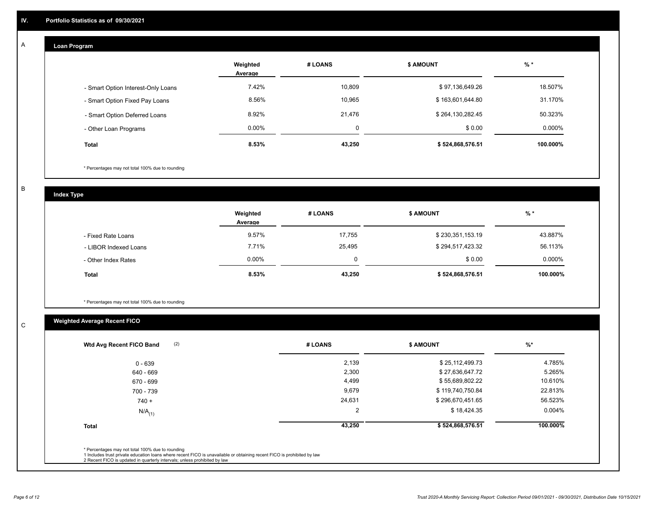## **Loan Program**

A

|                                    | Weighted<br>Average | # LOANS | <b>\$ AMOUNT</b> | $%$ *    |
|------------------------------------|---------------------|---------|------------------|----------|
| - Smart Option Interest-Only Loans | 7.42%               | 10,809  | \$97,136,649.26  | 18.507%  |
| - Smart Option Fixed Pay Loans     | 8.56%               | 10,965  | \$163,601,644.80 | 31.170%  |
| - Smart Option Deferred Loans      | 8.92%               | 21,476  | \$264,130,282.45 | 50.323%  |
| - Other Loan Programs              | $0.00\%$            |         | \$0.00           | 0.000%   |
| <b>Total</b>                       | 8.53%               | 43,250  | \$524,868,576.51 | 100.000% |

\* Percentages may not total 100% due to rounding

B

C

**Index Type**

|                       | Weighted<br>Average | # LOANS | <b>\$ AMOUNT</b> | $%$ *     |
|-----------------------|---------------------|---------|------------------|-----------|
| - Fixed Rate Loans    | 9.57%               | 17,755  | \$230,351,153.19 | 43.887%   |
| - LIBOR Indexed Loans | 7.71%               | 25,495  | \$294,517,423.32 | 56.113%   |
| - Other Index Rates   | $0.00\%$            |         | \$0.00           | $0.000\%$ |
| <b>Total</b>          | 8.53%               | 43,250  | \$524,868,576.51 | 100.000%  |

\* Percentages may not total 100% due to rounding

# **Weighted Average Recent FICO**

| # LOANS | <b>\$ AMOUNT</b> | $%$ *    |
|---------|------------------|----------|
| 2,139   | \$25,112,499.73  | 4.785%   |
| 2,300   | \$27,636,647.72  | 5.265%   |
| 4,499   | \$55,689,802.22  | 10.610%  |
| 9,679   | \$119,740,750.84 | 22.813%  |
| 24,631  | \$296,670,451.65 | 56.523%  |
| 2       | \$18,424.35      | 0.004%   |
| 43,250  | \$524,868,576.51 | 100.000% |
|         |                  |          |
|         |                  |          |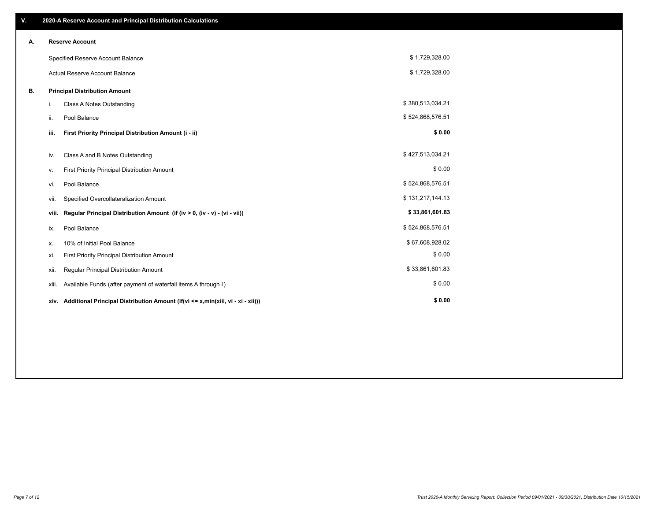| ٧. |       | 2020-A Reserve Account and Principal Distribution Calculations                       |                  |  |
|----|-------|--------------------------------------------------------------------------------------|------------------|--|
| А. |       | <b>Reserve Account</b>                                                               |                  |  |
|    |       | Specified Reserve Account Balance                                                    | \$1,729,328.00   |  |
|    |       | Actual Reserve Account Balance                                                       | \$1,729,328.00   |  |
| В. |       | <b>Principal Distribution Amount</b>                                                 |                  |  |
|    | i.    | Class A Notes Outstanding                                                            | \$380,513,034.21 |  |
|    | ii.   | Pool Balance                                                                         | \$524,868,576.51 |  |
|    | iii.  | First Priority Principal Distribution Amount (i - ii)                                | \$0.00           |  |
|    | iv.   | Class A and B Notes Outstanding                                                      | \$427,513,034.21 |  |
|    | ν.    | First Priority Principal Distribution Amount                                         | \$0.00           |  |
|    | vi.   | Pool Balance                                                                         | \$524,868,576.51 |  |
|    | vii.  | Specified Overcollateralization Amount                                               | \$131,217,144.13 |  |
|    | viii. | Regular Principal Distribution Amount (if (iv > 0, (iv - v) - (vi - vii))            | \$33,861,601.83  |  |
|    | ix.   | Pool Balance                                                                         | \$524,868,576.51 |  |
|    | х.    | 10% of Initial Pool Balance                                                          | \$67,608,928.02  |  |
|    | xi.   | First Priority Principal Distribution Amount                                         | \$0.00           |  |
|    | xii.  | Regular Principal Distribution Amount                                                | \$33,861,601.83  |  |
|    | xiii. | Available Funds (after payment of waterfall items A through I)                       | \$0.00           |  |
|    |       | xiv. Additional Principal Distribution Amount (if(vi <= x,min(xiii, vi - xi - xii))) | \$0.00           |  |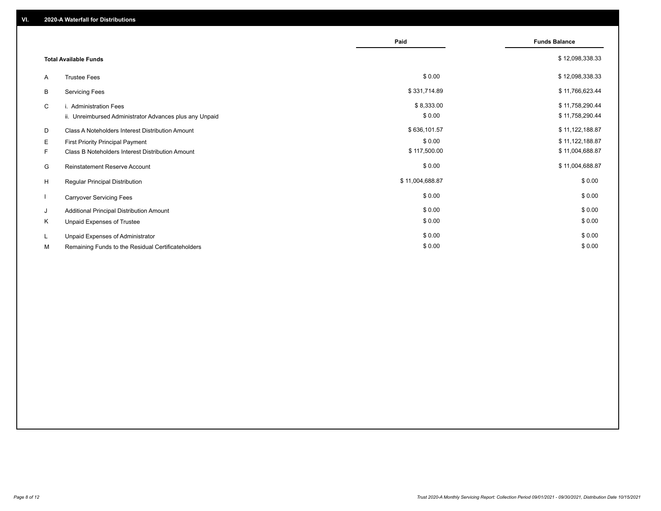|    |                                                         | Paid            | <b>Funds Balance</b> |
|----|---------------------------------------------------------|-----------------|----------------------|
|    |                                                         |                 |                      |
|    | <b>Total Available Funds</b>                            |                 | \$12,098,338.33      |
| A  | <b>Trustee Fees</b>                                     | \$0.00          | \$12,098,338.33      |
| В  | <b>Servicing Fees</b>                                   | \$331,714.89    | \$11,766,623.44      |
| C  | i. Administration Fees                                  | \$8,333.00      | \$11,758,290.44      |
|    | ii. Unreimbursed Administrator Advances plus any Unpaid | \$0.00          | \$11,758,290.44      |
| D  | Class A Noteholders Interest Distribution Amount        | \$636,101.57    | \$11,122,188.87      |
| E. | <b>First Priority Principal Payment</b>                 | \$0.00          | \$11,122,188.87      |
| F. | Class B Noteholders Interest Distribution Amount        | \$117,500.00    | \$11,004,688.87      |
| G  | <b>Reinstatement Reserve Account</b>                    | \$0.00          | \$11,004,688.87      |
| H  | Regular Principal Distribution                          | \$11,004,688.87 | \$0.00               |
|    | <b>Carryover Servicing Fees</b>                         | \$0.00          | \$0.00               |
| J  | Additional Principal Distribution Amount                | \$0.00          | \$0.00               |
| K  | Unpaid Expenses of Trustee                              | \$0.00          | \$0.00               |
| L  | Unpaid Expenses of Administrator                        | \$0.00          | \$0.00               |
| М  | Remaining Funds to the Residual Certificateholders      | \$0.00          | \$0.00               |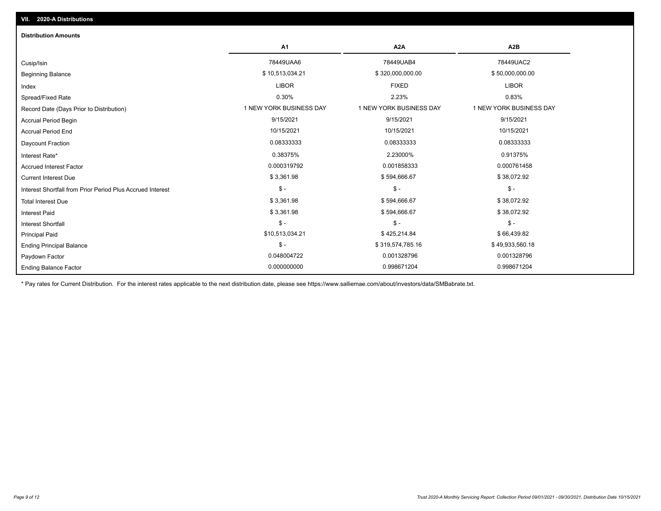| <b>Distribution Amounts</b>                                |                         |                         |                         |
|------------------------------------------------------------|-------------------------|-------------------------|-------------------------|
|                                                            | A <sub>1</sub>          | A <sub>2</sub> A        | A <sub>2</sub> B        |
| Cusip/Isin                                                 | 78449UAA6               | 78449UAB4               | 78449UAC2               |
| <b>Beginning Balance</b>                                   | \$10,513,034.21         | \$320,000,000.00        | \$50,000,000.00         |
| Index                                                      | <b>LIBOR</b>            | <b>FIXED</b>            | <b>LIBOR</b>            |
| Spread/Fixed Rate                                          | 0.30%                   | 2.23%                   | 0.83%                   |
| Record Date (Days Prior to Distribution)                   | 1 NEW YORK BUSINESS DAY | 1 NEW YORK BUSINESS DAY | 1 NEW YORK BUSINESS DAY |
| <b>Accrual Period Begin</b>                                | 9/15/2021               | 9/15/2021               | 9/15/2021               |
| <b>Accrual Period End</b>                                  | 10/15/2021              | 10/15/2021              | 10/15/2021              |
| Daycount Fraction                                          | 0.08333333              | 0.08333333              | 0.08333333              |
| Interest Rate*                                             | 0.38375%                | 2.23000%                | 0.91375%                |
| <b>Accrued Interest Factor</b>                             | 0.000319792             | 0.001858333             | 0.000761458             |
| <b>Current Interest Due</b>                                | \$3,361.98              | \$594,666.67            | \$38,072.92             |
| Interest Shortfall from Prior Period Plus Accrued Interest | $\mathsf{\$}$ -         | $$ -$                   | $\mathsf{\$}$ -         |
| <b>Total Interest Due</b>                                  | \$3,361.98              | \$594,666.67            | \$38,072.92             |
| <b>Interest Paid</b>                                       | \$3,361.98              | \$594,666.67            | \$38,072.92             |
| Interest Shortfall                                         | $\mathsf{\$}$ -         | $$ -$                   | $\mathsf{\$}$ -         |
| <b>Principal Paid</b>                                      | \$10,513,034.21         | \$425,214.84            | \$66,439.82             |
| <b>Ending Principal Balance</b>                            | $\mathcal{S}$ -         | \$319,574,785.16        | \$49,933,560.18         |
| Paydown Factor                                             | 0.048004722             | 0.001328796             | 0.001328796             |
| <b>Ending Balance Factor</b>                               | 0.000000000             | 0.998671204             | 0.998671204             |

\* Pay rates for Current Distribution. For the interest rates applicable to the next distribution date, please see https://www.salliemae.com/about/investors/data/SMBabrate.txt.

**VII. 2020-A Distributions**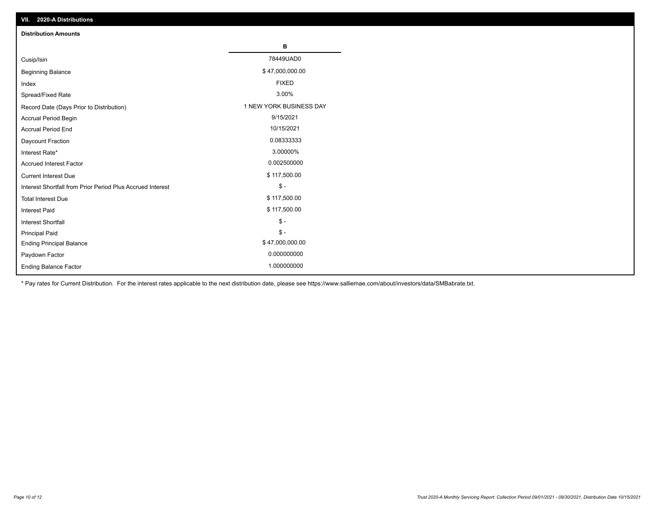| VII. 2020-A Distributions                                  |                         |
|------------------------------------------------------------|-------------------------|
| <b>Distribution Amounts</b>                                |                         |
|                                                            | В                       |
| Cusip/Isin                                                 | 78449UAD0               |
| <b>Beginning Balance</b>                                   | \$47,000,000.00         |
| Index                                                      | <b>FIXED</b>            |
| Spread/Fixed Rate                                          | 3.00%                   |
| Record Date (Days Prior to Distribution)                   | 1 NEW YORK BUSINESS DAY |
| Accrual Period Begin                                       | 9/15/2021               |
| <b>Accrual Period End</b>                                  | 10/15/2021              |
| Daycount Fraction                                          | 0.08333333              |
| Interest Rate*                                             | 3.00000%                |
| Accrued Interest Factor                                    | 0.002500000             |
| <b>Current Interest Due</b>                                | \$117,500.00            |
| Interest Shortfall from Prior Period Plus Accrued Interest | $\mathsf{\$}$ -         |
| <b>Total Interest Due</b>                                  | \$117,500.00            |
| Interest Paid                                              | \$117,500.00            |
| Interest Shortfall                                         | $\mathcal{S}$ -         |
| <b>Principal Paid</b>                                      | $\mathcal{S}$ -         |
| <b>Ending Principal Balance</b>                            | \$47,000,000.00         |
| Paydown Factor                                             | 0.000000000             |
| <b>Ending Balance Factor</b>                               | 1.000000000             |

\* Pay rates for Current Distribution. For the interest rates applicable to the next distribution date, please see https://www.salliemae.com/about/investors/data/SMBabrate.txt.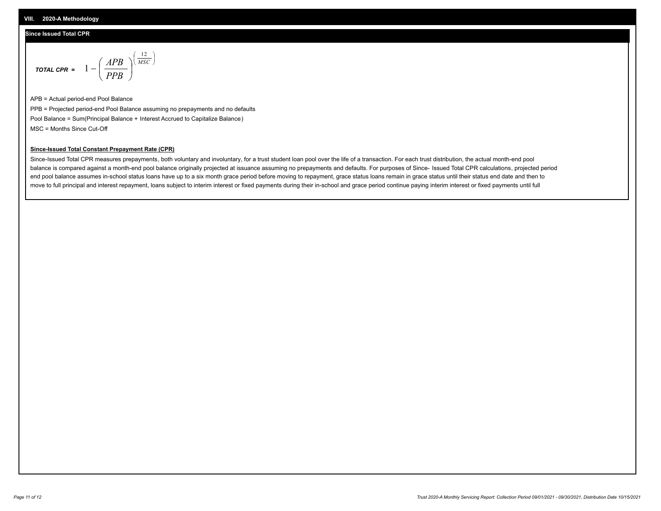## **Since Issued Total CPR**

$$
\text{total CPR} = 1 - \left(\frac{APB}{PPB}\right)^{\left(\frac{12}{MSC}\right)}
$$

APB = Actual period-end Pool Balance PPB = Projected period-end Pool Balance assuming no prepayments and no defaults Pool Balance = Sum(Principal Balance + Interest Accrued to Capitalize Balance) MSC = Months Since Cut-Off

I J Ι

### **Since-Issued Total Constant Prepayment Rate (CPR)**

Since-Issued Total CPR measures prepayments, both voluntary and involuntary, for a trust student loan pool over the life of a transaction. For each trust distribution, the actual month-end pool balance is compared against a month-end pool balance originally projected at issuance assuming no prepayments and defaults. For purposes of Since- Issued Total CPR calculations, projected period end pool balance assumes in-school status loans have up to a six month grace period before moving to repayment, grace status loans remain in grace status until their status end date and then to move to full principal and interest repayment, loans subject to interim interest or fixed payments during their in-school and grace period continue paying interim interest or fixed payments until full